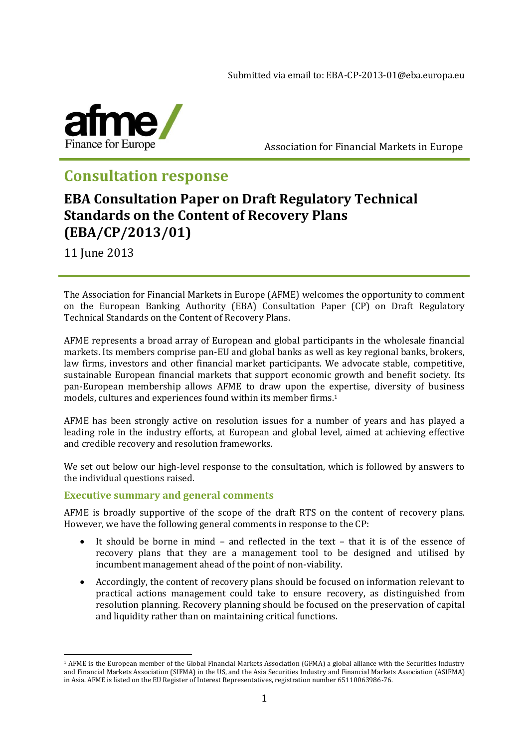

Association for Financial Markets in Europe

# **Consultation response**

# **EBA Consultation Paper on Draft Regulatory Technical Standards on the Content of Recovery Plans (EBA/CP/2013/01)**

11 June 2013

<u>.</u>

The Association for Financial Markets in Europe (AFME) welcomes the opportunity to comment on the European Banking Authority (EBA) Consultation Paper (CP) on Draft Regulatory Technical Standards on the Content of Recovery Plans.

AFME represents a broad array of European and global participants in the wholesale financial markets. Its members comprise pan-EU and global banks as well as key regional banks, brokers, law firms, investors and other financial market participants. We advocate stable, competitive, sustainable European financial markets that support economic growth and benefit society. Its pan-European membership allows AFME to draw upon the expertise, diversity of business models, cultures and experiences found within its member firms.<sup>1</sup>

AFME has been strongly active on resolution issues for a number of years and has played a leading role in the industry efforts, at European and global level, aimed at achieving effective and credible recovery and resolution frameworks.

We set out below our high-level response to the consultation, which is followed by answers to the individual questions raised.

# **Executive summary and general comments**

AFME is broadly supportive of the scope of the draft RTS on the content of recovery plans. However, we have the following general comments in response to the CP:

- It should be borne in mind and reflected in the text that it is of the essence of recovery plans that they are a management tool to be designed and utilised by incumbent management ahead of the point of non-viability.
- Accordingly, the content of recovery plans should be focused on information relevant to practical actions management could take to ensure recovery, as distinguished from resolution planning. Recovery planning should be focused on the preservation of capital and liquidity rather than on maintaining critical functions.

<sup>1</sup> AFME is the European member of the Global Financial Markets Association (GFMA) a global alliance with the Securities Industry and Financial Markets Association (SIFMA) in the US, and the Asia Securities Industry and Financial Markets Association (ASIFMA) in Asia. AFME is listed on the EU Register of Interest Representatives, registration number 65110063986-76.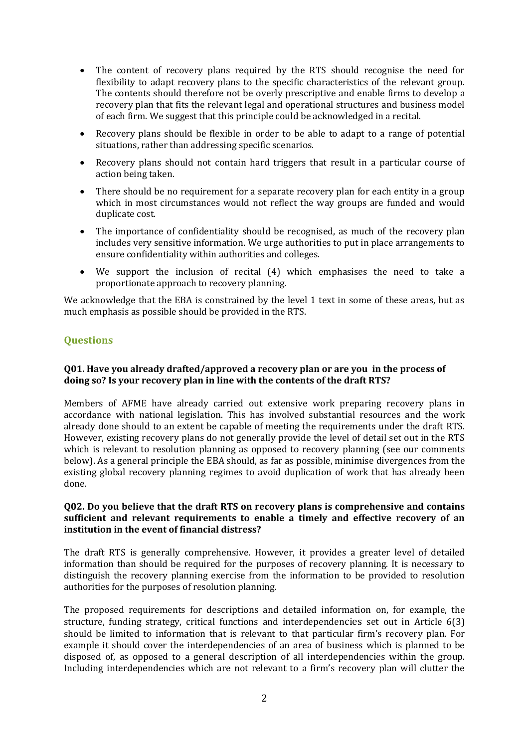- The content of recovery plans required by the RTS should recognise the need for flexibility to adapt recovery plans to the specific characteristics of the relevant group. The contents should therefore not be overly prescriptive and enable firms to develop a recovery plan that fits the relevant legal and operational structures and business model of each firm. We suggest that this principle could be acknowledged in a recital.
- Recovery plans should be flexible in order to be able to adapt to a range of potential situations, rather than addressing specific scenarios.
- Recovery plans should not contain hard triggers that result in a particular course of action being taken.
- There should be no requirement for a separate recovery plan for each entity in a group which in most circumstances would not reflect the way groups are funded and would duplicate cost.
- The importance of confidentiality should be recognised, as much of the recovery plan includes very sensitive information. We urge authorities to put in place arrangements to ensure confidentiality within authorities and colleges.
- We support the inclusion of recital (4) which emphasises the need to take a proportionate approach to recovery planning.

We acknowledge that the EBA is constrained by the level 1 text in some of these areas, but as much emphasis as possible should be provided in the RTS.

# **Questions**

## **Q01. Have you already drafted/approved a recovery plan or are you in the process of doing so? Is your recovery plan in line with the contents of the draft RTS?**

Members of AFME have already carried out extensive work preparing recovery plans in accordance with national legislation. This has involved substantial resources and the work already done should to an extent be capable of meeting the requirements under the draft RTS. However, existing recovery plans do not generally provide the level of detail set out in the RTS which is relevant to resolution planning as opposed to recovery planning (see our comments below). As a general principle the EBA should, as far as possible, minimise divergences from the existing global recovery planning regimes to avoid duplication of work that has already been done.

## **Q02. Do you believe that the draft RTS on recovery plans is comprehensive and contains sufficient and relevant requirements to enable a timely and effective recovery of an institution in the event of financial distress?**

The draft RTS is generally comprehensive. However, it provides a greater level of detailed information than should be required for the purposes of recovery planning. It is necessary to distinguish the recovery planning exercise from the information to be provided to resolution authorities for the purposes of resolution planning.

The proposed requirements for descriptions and detailed information on, for example, the structure, funding strategy, critical functions and interdependencies set out in Article 6(3) should be limited to information that is relevant to that particular firm's recovery plan. For example it should cover the interdependencies of an area of business which is planned to be disposed of, as opposed to a general description of all interdependencies within the group. Including interdependencies which are not relevant to a firm's recovery plan will clutter the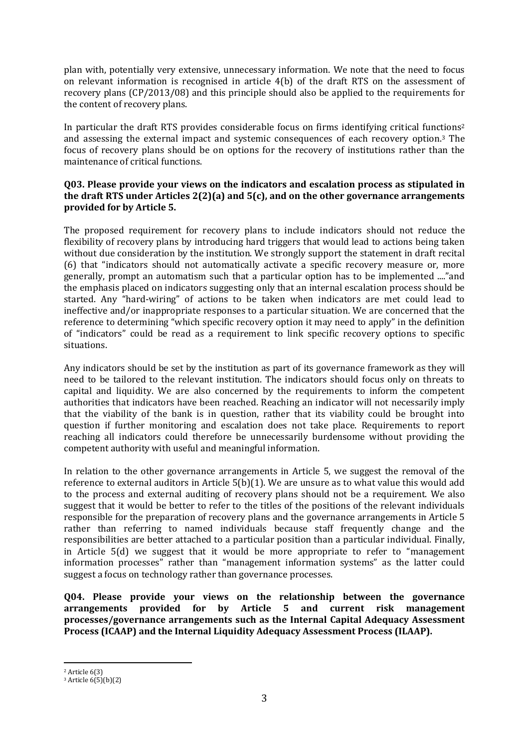plan with, potentially very extensive, unnecessary information. We note that the need to focus on relevant information is recognised in article 4(b) of the draft RTS on the assessment of recovery plans (CP/2013/08) and this principle should also be applied to the requirements for the content of recovery plans.

In particular the draft RTS provides considerable focus on firms identifying critical functions<sup>2</sup> and assessing the external impact and systemic consequences of each recovery option. <sup>3</sup> The focus of recovery plans should be on options for the recovery of institutions rather than the maintenance of critical functions.

## **Q03. Please provide your views on the indicators and escalation process as stipulated in the draft RTS under Articles 2(2)(a) and 5(c), and on the other governance arrangements provided for by Article 5.**

The proposed requirement for recovery plans to include indicators should not reduce the flexibility of recovery plans by introducing hard triggers that would lead to actions being taken without due consideration by the institution. We strongly support the statement in draft recital (6) that "indicators should not automatically activate a specific recovery measure or, more generally, prompt an automatism such that a particular option has to be implemented ...."and the emphasis placed on indicators suggesting only that an internal escalation process should be started. Any "hard-wiring" of actions to be taken when indicators are met could lead to ineffective and/or inappropriate responses to a particular situation. We are concerned that the reference to determining "which specific recovery option it may need to apply" in the definition of "indicators" could be read as a requirement to link specific recovery options to specific situations.

Any indicators should be set by the institution as part of its governance framework as they will need to be tailored to the relevant institution. The indicators should focus only on threats to capital and liquidity. We are also concerned by the requirements to inform the competent authorities that indicators have been reached. Reaching an indicator will not necessarily imply that the viability of the bank is in question, rather that its viability could be brought into question if further monitoring and escalation does not take place. Requirements to report reaching all indicators could therefore be unnecessarily burdensome without providing the competent authority with useful and meaningful information.

In relation to the other governance arrangements in Article 5, we suggest the removal of the reference to external auditors in Article 5(b)(1). We are unsure as to what value this would add to the process and external auditing of recovery plans should not be a requirement. We also suggest that it would be better to refer to the titles of the positions of the relevant individuals responsible for the preparation of recovery plans and the governance arrangements in Article 5 rather than referring to named individuals because staff frequently change and the responsibilities are better attached to a particular position than a particular individual. Finally, in Article 5(d) we suggest that it would be more appropriate to refer to "management information processes" rather than "management information systems" as the latter could suggest a focus on technology rather than governance processes.

**Q04. Please provide your views on the relationship between the governance arrangements provided for by Article 5 and current risk management processes/governance arrangements such as the Internal Capital Adequacy Assessment Process (ICAAP) and the Internal Liquidity Adequacy Assessment Process (ILAAP).**

<u>.</u>

<sup>2</sup> Article 6(3)

<sup>3</sup> Article 6(5)(b)(2)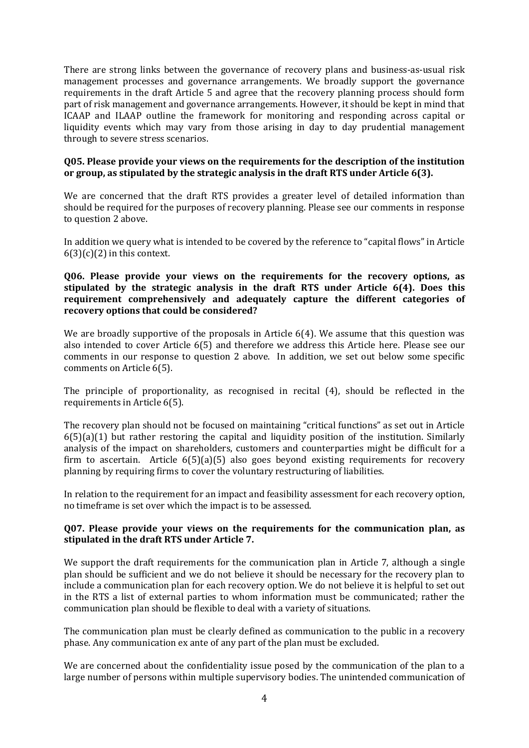There are strong links between the governance of recovery plans and business-as-usual risk management processes and governance arrangements. We broadly support the governance requirements in the draft Article 5 and agree that the recovery planning process should form part of risk management and governance arrangements. However, it should be kept in mind that ICAAP and ILAAP outline the framework for monitoring and responding across capital or liquidity events which may vary from those arising in day to day prudential management through to severe stress scenarios.

#### **Q05. Please provide your views on the requirements for the description of the institution or group, as stipulated by the strategic analysis in the draft RTS under Article 6(3).**

We are concerned that the draft RTS provides a greater level of detailed information than should be required for the purposes of recovery planning. Please see our comments in response to question 2 above.

In addition we query what is intended to be covered by the reference to "capital flows" in Article  $6(3)(c)(2)$  in this context.

#### **Q06. Please provide your views on the requirements for the recovery options, as stipulated by the strategic analysis in the draft RTS under Article 6(4). Does this requirement comprehensively and adequately capture the different categories of recovery options that could be considered?**

We are broadly supportive of the proposals in Article 6(4). We assume that this question was also intended to cover Article 6(5) and therefore we address this Article here. Please see our comments in our response to question 2 above. In addition, we set out below some specific comments on Article 6(5).

The principle of proportionality, as recognised in recital (4), should be reflected in the requirements in Article 6(5).

The recovery plan should not be focused on maintaining "critical functions" as set out in Article  $6(5)(a)(1)$  but rather restoring the capital and liquidity position of the institution. Similarly analysis of the impact on shareholders, customers and counterparties might be difficult for a firm to ascertain. Article 6(5)(a)(5) also goes beyond existing requirements for recovery planning by requiring firms to cover the voluntary restructuring of liabilities.

In relation to the requirement for an impact and feasibility assessment for each recovery option, no timeframe is set over which the impact is to be assessed.

#### **Q07. Please provide your views on the requirements for the communication plan, as stipulated in the draft RTS under Article 7.**

We support the draft requirements for the communication plan in Article 7, although a single plan should be sufficient and we do not believe it should be necessary for the recovery plan to include a communication plan for each recovery option. We do not believe it is helpful to set out in the RTS a list of external parties to whom information must be communicated; rather the communication plan should be flexible to deal with a variety of situations.

The communication plan must be clearly defined as communication to the public in a recovery phase. Any communication ex ante of any part of the plan must be excluded.

We are concerned about the confidentiality issue posed by the communication of the plan to a large number of persons within multiple supervisory bodies. The unintended communication of